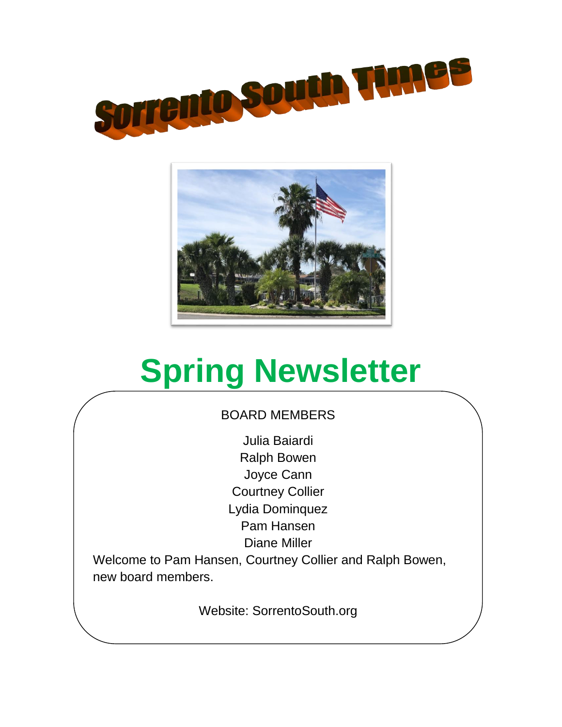



# **Spring Newsletter**

# BOARD MEMBERS

Julia Baiardi Ralph Bowen Joyce Cann Courtney Collier Lydia Dominquez Pam Hansen Diane Miller

Welcome to Pam Hansen, Courtney Collier and Ralph Bowen, new board members.

Website: SorrentoSouth.org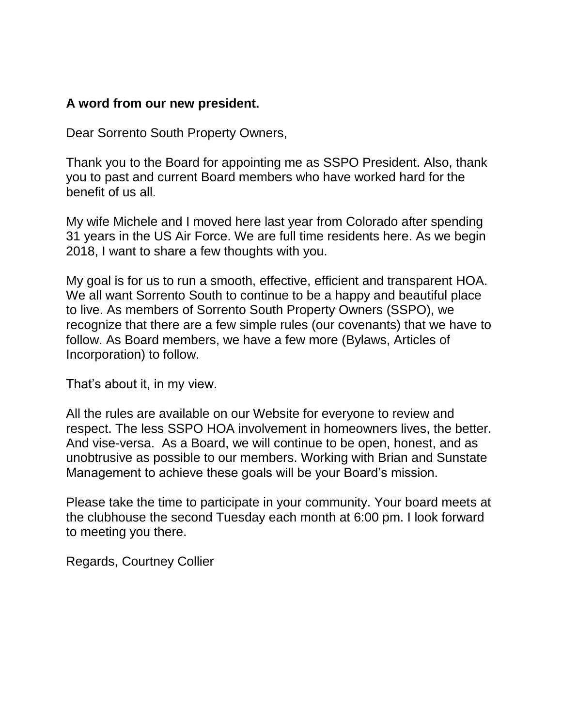### **A word from our new president.**

Dear Sorrento South Property Owners,

Thank you to the Board for appointing me as SSPO President. Also, thank you to past and current Board members who have worked hard for the benefit of us all.

My wife Michele and I moved here last year from Colorado after spending 31 years in the US Air Force. We are full time residents here. As we begin 2018, I want to share a few thoughts with you.

My goal is for us to run a smooth, effective, efficient and transparent HOA. We all want Sorrento South to continue to be a happy and beautiful place to live. As members of Sorrento South Property Owners (SSPO), we recognize that there are a few simple rules (our covenants) that we have to follow. As Board members, we have a few more (Bylaws, Articles of Incorporation) to follow.

That's about it, in my view.

All the rules are available on our Website for everyone to review and respect. The less SSPO HOA involvement in homeowners lives, the better. And vise-versa. As a Board, we will continue to be open, honest, and as unobtrusive as possible to our members. Working with Brian and Sunstate Management to achieve these goals will be your Board's mission.

Please take the time to participate in your community. Your board meets at the clubhouse the second Tuesday each month at 6:00 pm. I look forward to meeting you there.

Regards, Courtney Collier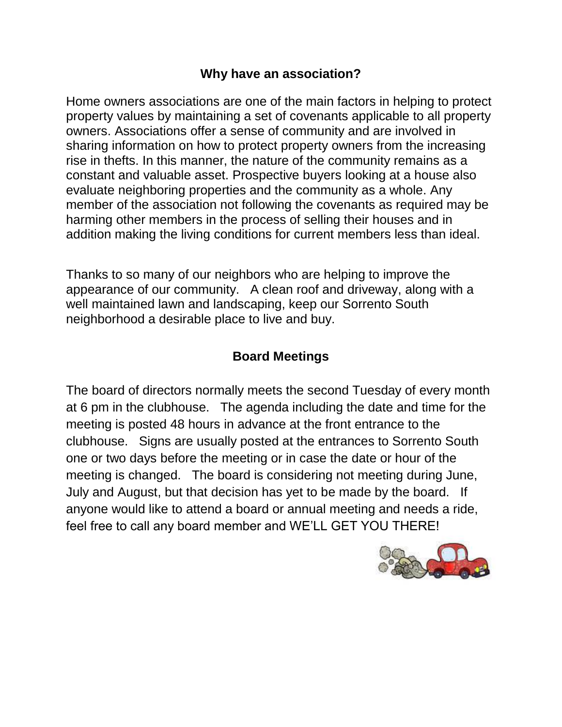### **Why have an association?**

Home owners associations are one of the main factors in helping to protect property values by maintaining a set of covenants applicable to all property owners. Associations offer a sense of community and are involved in sharing information on how to protect property owners from the increasing rise in thefts. In this manner, the nature of the community remains as a constant and valuable asset. Prospective buyers looking at a house also evaluate neighboring properties and the community as a whole. Any member of the association not following the covenants as required may be harming other members in the process of selling their houses and in addition making the living conditions for current members less than ideal.

Thanks to so many of our neighbors who are helping to improve the appearance of our community. A clean roof and driveway, along with a well maintained lawn and landscaping, keep our Sorrento South neighborhood a desirable place to live and buy.

# **Board Meetings**

The board of directors normally meets the second Tuesday of every month at 6 pm in the clubhouse. The agenda including the date and time for the meeting is posted 48 hours in advance at the front entrance to the clubhouse. Signs are usually posted at the entrances to Sorrento South one or two days before the meeting or in case the date or hour of the meeting is changed. The board is considering not meeting during June, July and August, but that decision has yet to be made by the board. If anyone would like to attend a board or annual meeting and needs a ride, feel free to call any board member and WE'LL GET YOU THERE!

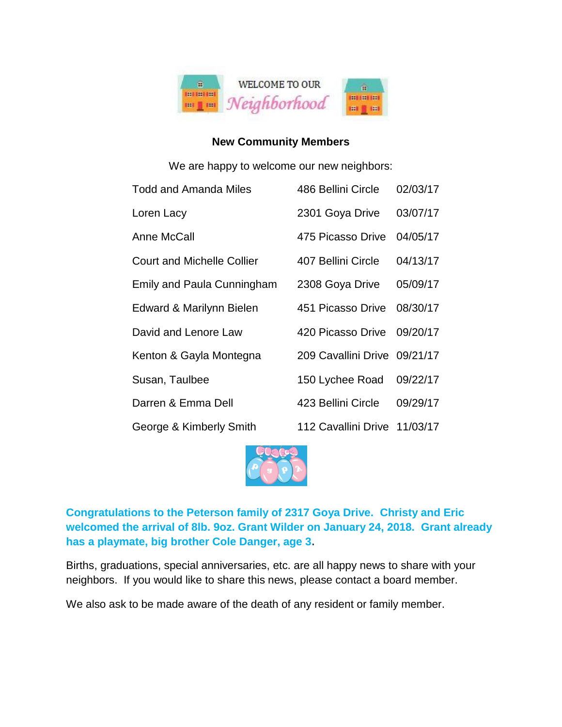

#### **New Community Members**

We are happy to welcome our new neighbors:

| <b>Todd and Amanda Miles</b>      | 486 Bellini Circle           | 02/03/17 |
|-----------------------------------|------------------------------|----------|
| Loren Lacy                        | 2301 Goya Drive              | 03/07/17 |
| Anne McCall                       | 475 Picasso Drive            | 04/05/17 |
| <b>Court and Michelle Collier</b> | 407 Bellini Circle           | 04/13/17 |
| Emily and Paula Cunningham        | 2308 Goya Drive              | 05/09/17 |
| Edward & Marilynn Bielen          | 451 Picasso Drive            | 08/30/17 |
| David and Lenore Law              | 420 Picasso Drive            | 09/20/17 |
| Kenton & Gayla Montegna           | 209 Cavallini Drive 09/21/17 |          |
| Susan, Taulbee                    | 150 Lychee Road              | 09/22/17 |
| Darren & Emma Dell                | 423 Bellini Circle           | 09/29/17 |
| George & Kimberly Smith           | 112 Cavallini Drive          | 11/03/17 |



**Congratulations to the Peterson family of 2317 Goya Drive. Christy and Eric welcomed the arrival of 8lb. 9oz. Grant Wilder on January 24, 2018. Grant already has a playmate, big brother Cole Danger, age 3.**

Births, graduations, special anniversaries, etc. are all happy news to share with your neighbors. If you would like to share this news, please contact a board member.

We also ask to be made aware of the death of any resident or family member.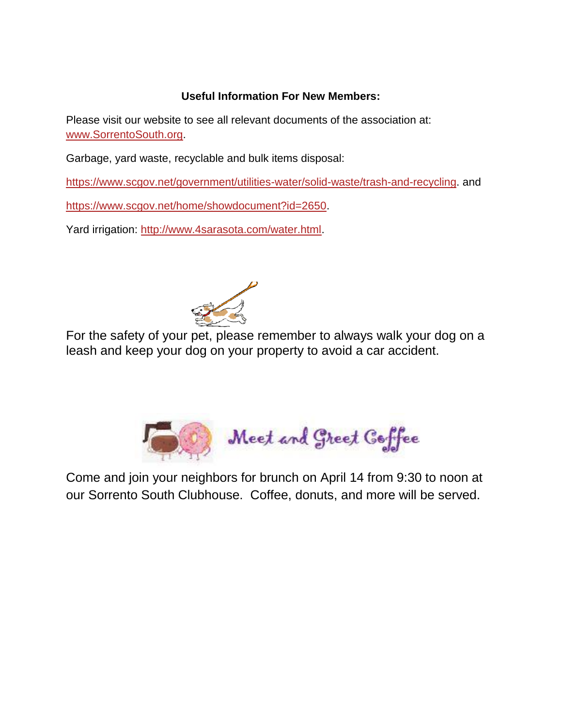#### **Useful Information For New Members:**

Please visit our website to see all relevant documents of the association at: [www.SorrentoSouth.org.](http://www.sorrentosouth.org/)

Garbage, yard waste, recyclable and bulk items disposal:

[https://www.scgov.net/government/utilities-water/solid-waste/trash-and-recycling.](https://www.scgov.net/government/utilities-water/solid-waste/trash-and-recycling) and

[https://www.scgov.net/home/showdocument?id=2650.](https://www.scgov.net/home/showdocument?id=2650)

Yard irrigation: [http://www.4sarasota.com/water.html.](http://www.4sarasota.com/water.html)



For the safety of your pet, please remember to always walk your dog on a leash and keep your dog on your property to avoid a car accident.



Come and join your neighbors for brunch on April 14 from 9:30 to noon at our Sorrento South Clubhouse. Coffee, donuts, and more will be served.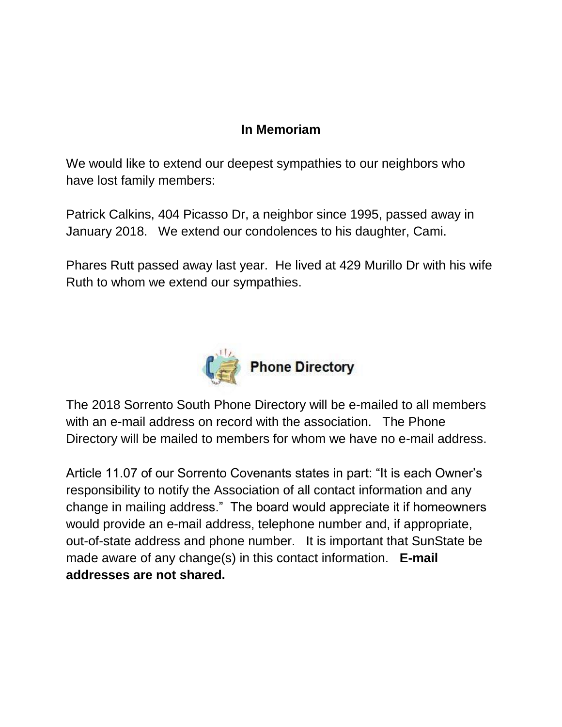## **In Memoriam**

We would like to extend our deepest sympathies to our neighbors who have lost family members:

Patrick Calkins, 404 Picasso Dr, a neighbor since 1995, passed away in January 2018. We extend our condolences to his daughter, Cami.

Phares Rutt passed away last year. He lived at 429 Murillo Dr with his wife Ruth to whom we extend our sympathies.



The 2018 Sorrento South Phone Directory will be e-mailed to all members with an e-mail address on record with the association. The Phone Directory will be mailed to members for whom we have no e-mail address.

Article 11.07 of our Sorrento Covenants states in part: "It is each Owner's responsibility to notify the Association of all contact information and any change in mailing address." The board would appreciate it if homeowners would provide an e-mail address, telephone number and, if appropriate, out-of-state address and phone number. It is important that SunState be made aware of any change(s) in this contact information. **E-mail addresses are not shared.**